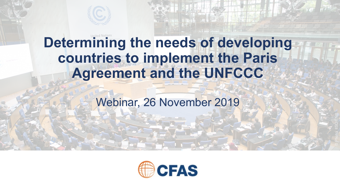# **Determining the needs of developing countries to implement the Paris Agreement and the UNFCCC**

Webinar, 26 November 2019

© Photo: IISD/ENB

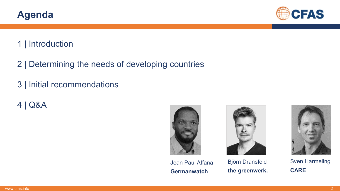Sven Harmeling **CARE**

CARI

#### 1 | Introduction

**Agenda**

- 2 | Determining the needs of developing countries
- 3 | Initial recommendations
- 4 | Q&A





Jean Paul Affana **Germanwatch**



**the greenwerk.** 

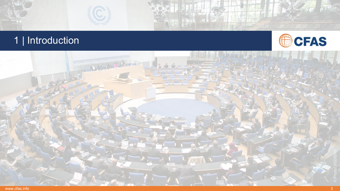



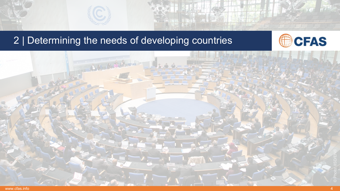# 2 | Determining the needs of developing countries



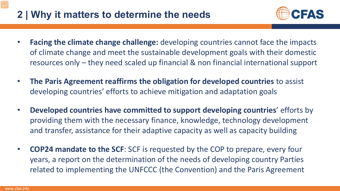# **2 | Why it matters to determine the needs**



- **Facing the climate change challenge:** developing countries cannot face the impacts of climate change and meet the sustainable development goals with their domestic resources only – they need scaled up financial & non financial international support
- **The Paris Agreement reaffirms the obligation for developed countries** to assist developing countries' efforts to achieve mitigation and adaptation goals
- **Developed countries have committed to support developing countries**' efforts by providing them with the necessary finance, knowledge, technology development and transfer, assistance for their adaptive capacity as well as capacity building
- **COP24 mandate to the SCF**: SCF is requested by the COP to prepare, every four years, a report on the determination of the needs of developing country Parties related to implementing the UNFCCC (the Convention) and the Paris Agreement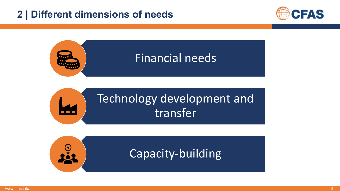### **2 | Different dimensions of needs**





# Technology development and transfer

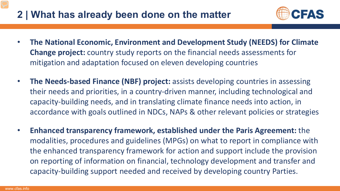### **2 | What has already been done on the matter**



- **The National Economic, Environment and Development Study (NEEDS) for Climate Change project:** country study reports on the financial needs assessments for mitigation and adaptation focused on eleven developing countries
- **The Needs-based Finance (NBF) project:** assists developing countries in assessing their needs and priorities, in a country-driven manner, including technological and capacity-building needs, and in translating climate finance needs into action, in accordance with goals outlined in NDCs, NAPs & other relevant policies or strategies
- **Enhanced transparency framework, established under the Paris Agreement:** the modalities, procedures and guidelines (MPGs) on what to report in compliance with the enhanced transparency framework for action and support include the provision on reporting of information on financial, technology development and transfer and capacity-building support needed and received by developing country Parties.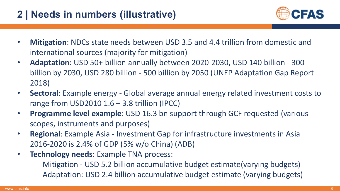# **2 | Needs in numbers (illustrative)**



- **Mitigation**: NDCs state needs between USD 3.5 and 4.4 trillion from domestic and international sources (majority for mitigation)
- **Adaptation**: USD 50+ billion annually between 2020-2030, USD 140 billion 300 billion by 2030, USD 280 billion - 500 billion by 2050 (UNEP Adaptation Gap Report 2018)
- **Sectoral**: Example energy Global average annual energy related investment costs to range from USD2010  $1.6 - 3.8$  trillion (IPCC)
- **Programme level example**: USD 16.3 bn support through GCF requested (various scopes, instruments and purposes)
- **Regional**: Example Asia Investment Gap for infrastructure investments in Asia 2016-2020 is 2.4% of GDP (5% w/o China) (ADB)
- **Technology needs**: Example TNA process:

Mitigation - USD 5.2 billion accumulative budget estimate(varying budgets) Adaptation: USD 2.4 billion accumulative budget estimate (varying budgets)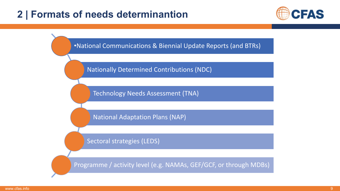#### **2 | Formats of needs determinantion**



•National Communications & Biennial Update Reports (and BTRs)

Nationally Determined Contributions (NDC)

Technology Needs Assessment (TNA)

National Adaptation Plans (NAP)

Sectoral strategies (LEDS)

Programme / activity level (e.g. NAMAs, GEF/GCF, or through MDBs)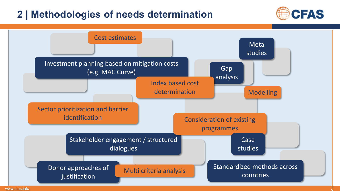### **2 | Methodologies of needs determination**



 $\cap$ 

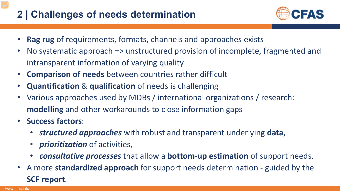# **2 | Challenges of needs determination**



- **Rag rug** of requirements, formats, channels and approaches exists
- No systematic approach => unstructured provision of incomplete, fragmented and intransparent information of varying quality
- **Comparison of needs** between countries rather difficult
- **Quantification** & **qualification** of needs is challenging
- Various approaches used by MDBs / international organizations / research: **modelling** and other workarounds to close information gaps
- **Success factors**:
	- *structured approaches* with robust and transparent underlying **data**,
	- *prioritization* of activities,
	- *consultative processes* that allow a **bottom-up estimation** of support needs.
- A more **standardized approach** for support needs determination guided by the **SCF report**.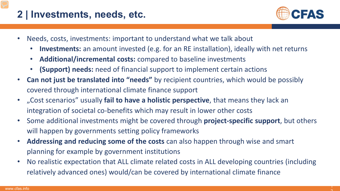# **2 | Investments, needs, etc.**



- Needs, costs, investments: important to understand what we talk about
	- **Investments:** an amount invested (e.g. for an RE installation), ideally with net returns
	- **Additional/incremental costs:** compared to baseline investments
	- **(Support) needs:** need of financial support to implement certain actions
- **Can not just be translated into "needs"** by recipient countries, which would be possibly covered through international climate finance support
- "Cost scenarios" usually **fail to have a holistic perspective**, that means they lack an integration of societal co-benefits which may result in lower other costs
- Some additional investments might be covered through **project-specific support**, but others will happen by governments setting policy frameworks
- **Addressing and reducing some of the costs** can also happen through wise and smart planning for example by government institutions
- No realistic expectation that ALL climate related costs in ALL developing countries (including relatively advanced ones) would/can be covered by international climate finance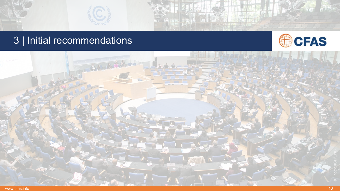# 3 | Initial recommendations



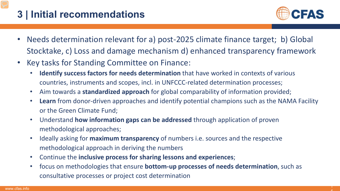# **3 | Initial recommendations**



- Needs determination relevant for a) post-2025 climate finance target; b) Global Stocktake, c) Loss and damage mechanism d) enhanced transparency framework
- Key tasks for Standing Committee on Finance:
	- **Identify success factors for needs determination** that have worked in contexts of various countries, instruments and scopes, incl. in UNFCCC-related determination processes;
	- Aim towards a **standardized approach** for global comparability of information provided;
	- **Learn** from donor-driven approaches and identify potential champions such as the NAMA Facility or the Green Climate Fund;
	- Understand **how information gaps can be addressed** through application of proven methodological approaches;
	- Ideally asking for **maximum transparency** of numbers i.e. sources and the respective methodological approach in deriving the numbers
	- Continue the **inclusive process for sharing lessons and experiences**;
	- focus on methodologies that ensure **bottom-up processes of needs determination**, such as consultative processes or project cost determination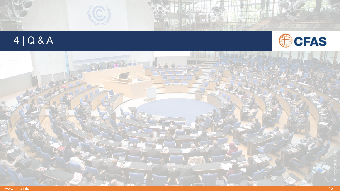